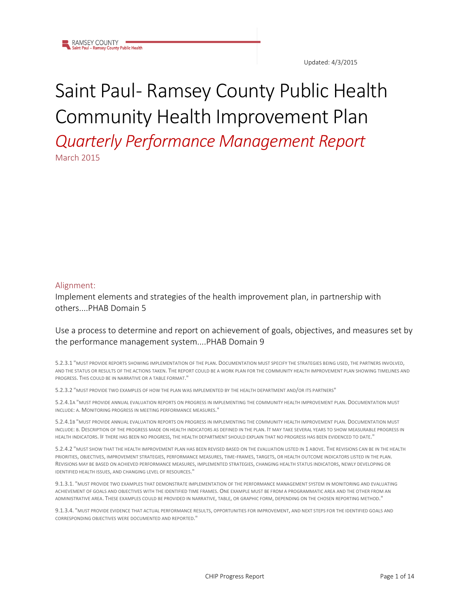

# Saint Paul- Ramsey County Public Health Community Health Improvement Plan

*Quarterly Performance Management Report* March 2015

#### Alignment:

Implement elements and strategies of the health improvement plan, in partnership with others....PHAB Domain 5

#### Use a process to determine and report on achievement of goals, objectives, and measures set by the performance management system....PHAB Domain 9

5.2.3.1 "MUST PROVIDE REPORTS SHOWING IMPLEMENTATION OF THE PLAN. DOCUMENTATION MUST SPECIFY THE STRATEGIES BEING USED, THE PARTNERS INVOLVED, AND THE STATUS OR RESULTS OF THE ACTIONS TAKEN. THE REPORT COULD BE A WORK PLAN FOR THE COMMUNITY HEALTH IMPROVEMENT PLAN SHOWING TIMELINES AND PROGRESS. THIS COULD BE IN NARRATIVE OR A TABLE FORMAT."

5.2.3.2 "MUST PROVIDE TWO EXAMPLES OF HOW THE PLAN WAS IMPLEMENTED BY THE HEALTH DEPARTMENT AND/OR ITS PARTNERS"

5.2.4.1A "MUST PROVIDE ANNUAL EVALUATION REPORTS ON PROGRESS IN IMPLEMENTING THE COMMUNITY HEALTH IMPROVEMENT PLAN. DOCUMENTATION MUST INCLUDE: A. MONITORING PROGRESS IN MEETING PERFORMANCE MEASURES."

5.2.4.1B "MUST PROVIDE ANNUAL EVALUATION REPORTS ON PROGRESS IN IMPLEMENTING THE COMMUNITY HEALTH IMPROVEMENT PLAN. DOCUMENTATION MUST INCLUDE: B. DESCRIPTION OF THE PROGRESS MADE ON HEALTH INDICATORS AS DEFINED IN THE PLAN. IT MAY TAKE SEVERAL YEARS TO SHOW MEASURABLE PROGRESS IN HEALTH INDICATORS. IF THERE HAS BEEN NO PROGRESS, THE HEALTH DEPARTMENT SHOULD EXPLAIN THAT NO PROGRESS HAS BEEN EVIDENCED TO DATE."

5.2.4.2 "MUST SHOW THAT THE HEALTH IMPROVEMENT PLAN HAS BEEN REVISED BASED ON THE EVALUATION LISTED IN 1 ABOVE. THE REVISIONS CAN BE IN THE HEALTH PRIORITIES, OBJECTIVES, IMPROVEMENT STRATEGIES, PERFORMANCE MEASURES, TIME-FRAMES, TARGETS, OR HEALTH OUTCOME INDICATORS LISTED IN THE PLAN. REVISIONS MAY BE BASED ON ACHIEVED PERFORMANCE MEASURES, IMPLEMENTED STRATEGIES, CHANGING HEALTH STATUS INDICATORS, NEWLY DEVELOPING OR IDENTIFIED HEALTH ISSUES, AND CHANGING LEVEL OF RESOURCES."

9.1.3.1. "MUST PROVIDE TWO EXAMPLES THAT DEMONSTRATE IMPLEMENTATION OF THE PERFORMANCE MANAGEMENT SYSTEM IN MONITORING AND EVALUATING ACHIEVEMENT OF GOALS AND OBJECTIVES WITH THE IDENTIFIED TIME FRAMES. ONE EXAMPLE MUST BE FROM A PROGRAMMATIC AREA AND THE OTHER FROM AN ADMINISTRATIVE AREA. THESE EXAMPLES COULD BE PROVIDED IN NARRATIVE, TABLE, OR GRAPHIC FORM, DEPENDING ON THE CHOSEN REPORTING METHOD."

9.1.3.4. "MUST PROVIDE EVIDENCE THAT ACTUAL PERFORMANCE RESULTS, OPPORTUNITIES FOR IMPROVEMENT, AND NEXT STEPS FOR THE IDENTIFIED GOALS AND CORRESPONDING OBJECTIVES WERE DOCUMENTED AND REPORTED."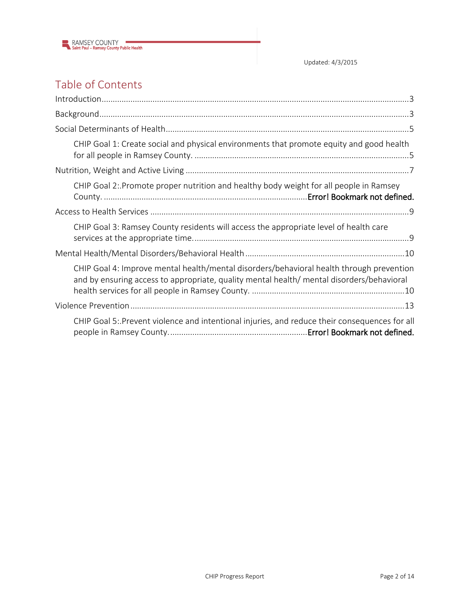

Updated: 4/3/2015

## Table of Contents

| CHIP Goal 1: Create social and physical environments that promote equity and good health                                                                                             |
|--------------------------------------------------------------------------------------------------------------------------------------------------------------------------------------|
|                                                                                                                                                                                      |
| CHIP Goal 2: Promote proper nutrition and healthy body weight for all people in Ramsey                                                                                               |
|                                                                                                                                                                                      |
| CHIP Goal 3: Ramsey County residents will access the appropriate level of health care                                                                                                |
|                                                                                                                                                                                      |
| CHIP Goal 4: Improve mental health/mental disorders/behavioral health through prevention<br>and by ensuring access to appropriate, quality mental health/mental disorders/behavioral |
|                                                                                                                                                                                      |
| CHIP Goal 5: Prevent violence and intentional injuries, and reduce their consequences for all                                                                                        |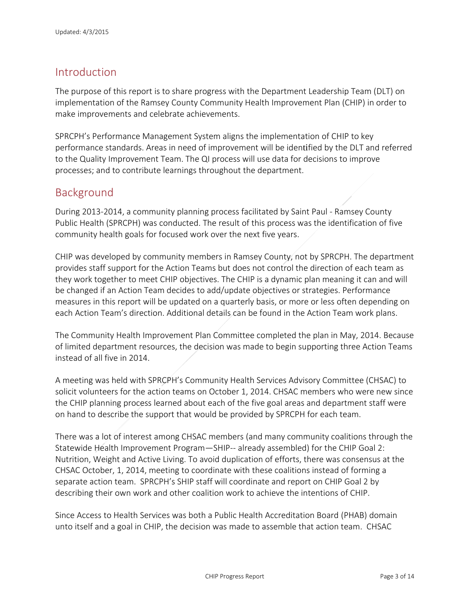### <span id="page-2-0"></span>Introduction

The purpose of this report is to share progress with the Department Leadership Team (DLT) on implementation of the Ramsey County Community Health Improvement Plan (CHIP) in order to make improvements and celebrate achievements.

SPRCPH's Performance Management System aligns the implementation of CHIP to key performance standards. Areas in need of improvement will be identified by the DLT and referred to the Quality Improvement Team. The QI process will use data for decisions to improve processes; and to contribute learnings throughout the department.

## <span id="page-2-1"></span>Background

During 2013-2014, a community planning process facilitated by Saint Paul - Ramsey County Public Health (SPRCPH) was conducted. The result of this process was the identification of five community health goals for focused work over the next five years.

CHIP was developed by community members in Ramsey County, not by SPRCPH. The department provides staff support for the Action Teams but does not control the direction of each team as they work together to meet CHIP objectives. The CHIP is a dynamic plan meaning it can and will be changed if an Action Team decides to add/update objectives or strategies. Performance measures in this report will be updated on a quarterly basis, or more or less often depending on each Action Team's direction. Additional details can be found in the Action Team work plans.

The Community Health Improvement Plan Committee completed the plan in May, 2014. Because of limited department resources, the decision was made to begin supporting three Action Teams instead of all five in 2014.

A meeting was held with SPRCPH's Community Health Services Advisory Committee (CHSAC) to solicit volunteers for the action teams on October 1, 2014. CHSAC members who were new since the CHIP planning process learned about each of the five goal areas and department staff were on hand to describe the support that would be provided by SPRCPH for each team.

There was a lot of interest among CHSAC members (and many community coalitions through the Statewide Health Improvement Program—SHIP-- already assembled) for the CHIP Goal 2: Nutrition, Weight and Active Living. To avoid duplication of efforts, there was consensus at the CHSAC October, 1, 2014, meeting to coordinate with these coalitions instead of forming a separate action team. SPRCPH's SHIP staff will coordinate and report on CHIP Goal 2 by describing their own work and other coalition work to achieve the intentions of CHIP.

Since Access to Health Services was both a Public Health Accreditation Board (PHAB) domain unto itself and a goal in CHIP, the decision was made to assemble that action team. CHSAC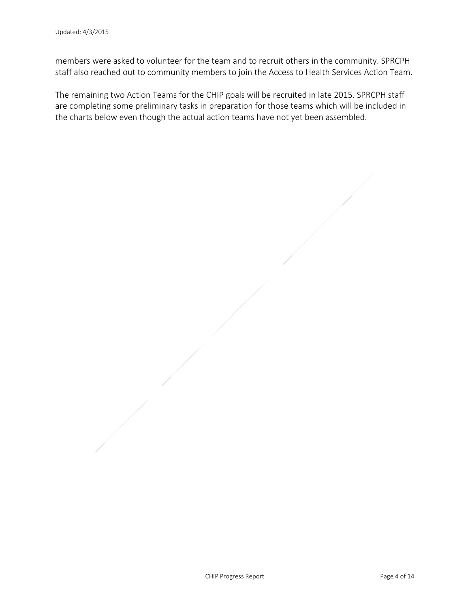members were asked to volunteer for the team and to recruit others in the community. SPRCPH staff also reached out to community members to join the Access to Health Services Action Team.

The remaining two Action Teams for the CHIP goals will be recruited in late 2015. SPRCPH staff are completing some preliminary tasks in preparation for those teams which will be included in the charts below even though the actual action teams have not yet been assembled.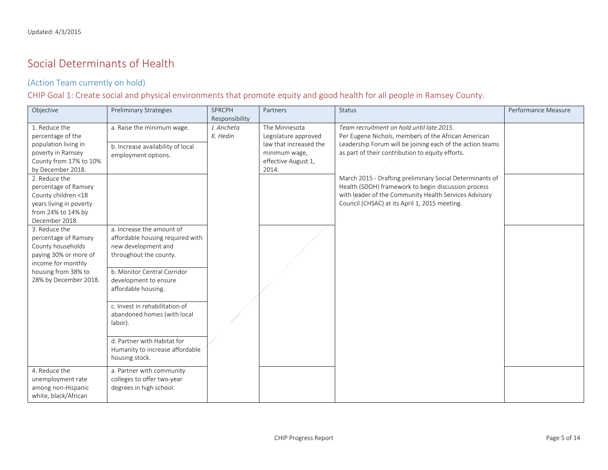## Social Determinants of Health

#### (Action Team currently on hold)

CHIP Goal 1: Create social and physical environments that promote equity and good health for all people in Ramsey County.

<span id="page-4-1"></span><span id="page-4-0"></span>

| Objective                                                                                                                                                 | <b>Preliminary Strategies</b>                                                                                                                                                                                                                                                                                                                                 | SPRCPH                 | Partners                                                                                                         | Status                                                                                                                                                                                                                    | Performance Measure |
|-----------------------------------------------------------------------------------------------------------------------------------------------------------|---------------------------------------------------------------------------------------------------------------------------------------------------------------------------------------------------------------------------------------------------------------------------------------------------------------------------------------------------------------|------------------------|------------------------------------------------------------------------------------------------------------------|---------------------------------------------------------------------------------------------------------------------------------------------------------------------------------------------------------------------------|---------------------|
|                                                                                                                                                           |                                                                                                                                                                                                                                                                                                                                                               | Responsibility         |                                                                                                                  |                                                                                                                                                                                                                           |                     |
| 1. Reduce the<br>percentage of the<br>population living in<br>poverty in Ramsey<br>County from 17% to 10%<br>by December 2018.                            | a. Raise the minimum wage.<br>b. Increase availability of local<br>employment options.                                                                                                                                                                                                                                                                        | J. Ancheta<br>K. Hedin | The Minnesota<br>Legislature approved<br>law that increased the<br>minimum wage,<br>effective August 1,<br>2014. | Team recruitment on hold until late 2015.<br>Per Eugene Nichols, members of the African American<br>Leadership Forum will be joining each of the action teams<br>as part of their contribution to equity efforts.         |                     |
| 2. Reduce the<br>percentage of Ramsey<br>County children <18<br>years living in poverty<br>from 24% to 14% by<br>December 2018.                           |                                                                                                                                                                                                                                                                                                                                                               |                        |                                                                                                                  | March 2015 - Drafting preliminary Social Determinants of<br>Health (SDOH) framework to begin discussion process<br>with leader of the Community Health Services Advisory<br>Council (CHSAC) at its April 1, 2015 meeting. |                     |
| 3. Reduce the<br>percentage of Ramsey<br>County households<br>paying 30% or more of<br>income for monthly<br>housing from 38% to<br>28% by December 2018. | a. Increase the amount of<br>affordable housing required with<br>new development and<br>throughout the county.<br>b. Monitor Central Corridor<br>development to ensure<br>affordable housing.<br>c. Invest in rehabilitation of<br>abandoned homes (with local<br>labor).<br>d. Partner with Habitat for<br>Humanity to increase affordable<br>housing stock. |                        |                                                                                                                  |                                                                                                                                                                                                                           |                     |
| 4. Reduce the<br>unemployment rate<br>among non-Hispanic<br>white, black/African                                                                          | a. Partner with community<br>colleges to offer two-year<br>degrees in high school.                                                                                                                                                                                                                                                                            |                        |                                                                                                                  |                                                                                                                                                                                                                           |                     |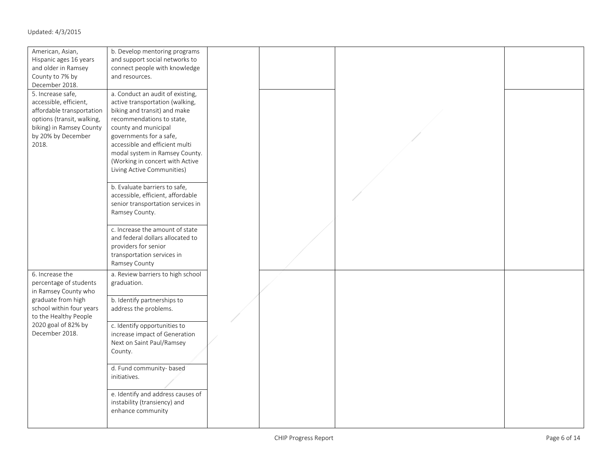| American, Asian,<br>Hispanic ages 16 years<br>and older in Ramsey                                                                                                 | b. Develop mentoring programs<br>and support social networks to<br>connect people with knowledge                                                                                                                                                                                                                         |  |  |
|-------------------------------------------------------------------------------------------------------------------------------------------------------------------|--------------------------------------------------------------------------------------------------------------------------------------------------------------------------------------------------------------------------------------------------------------------------------------------------------------------------|--|--|
| County to 7% by<br>December 2018.                                                                                                                                 | and resources.                                                                                                                                                                                                                                                                                                           |  |  |
| 5. Increase safe,<br>accessible, efficient,<br>affordable transportation<br>options (transit, walking,<br>biking) in Ramsey County<br>by 20% by December<br>2018. | a. Conduct an audit of existing,<br>active transportation (walking,<br>biking and transit) and make<br>recommendations to state,<br>county and municipal<br>governments for a safe,<br>accessible and efficient multi<br>modal system in Ramsey County.<br>(Working in concert with Active<br>Living Active Communities) |  |  |
|                                                                                                                                                                   | b. Evaluate barriers to safe,<br>accessible, efficient, affordable<br>senior transportation services in<br>Ramsey County.                                                                                                                                                                                                |  |  |
|                                                                                                                                                                   | c. Increase the amount of state<br>and federal dollars allocated to<br>providers for senior<br>transportation services in<br>Ramsey County                                                                                                                                                                               |  |  |
| 6. Increase the<br>percentage of students<br>in Ramsey County who                                                                                                 | a. Review barriers to high school<br>graduation.                                                                                                                                                                                                                                                                         |  |  |
| graduate from high<br>school within four years<br>to the Healthy People                                                                                           | b. Identify partnerships to<br>address the problems.                                                                                                                                                                                                                                                                     |  |  |
| 2020 goal of 82% by<br>December 2018.                                                                                                                             | c. Identify opportunities to<br>increase impact of Generation<br>Next on Saint Paul/Ramsey<br>County.                                                                                                                                                                                                                    |  |  |
|                                                                                                                                                                   | d. Fund community- based<br>initiatives.                                                                                                                                                                                                                                                                                 |  |  |
|                                                                                                                                                                   | e. Identify and address causes of<br>instability (transiency) and<br>enhance community                                                                                                                                                                                                                                   |  |  |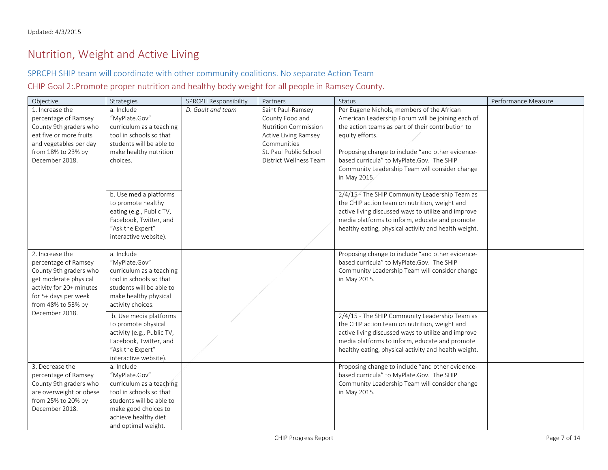## Nutrition, Weight and Active Living

#### SPRCPH SHIP team will coordinate with other community coalitions. No separate Action Team

CHIP Goal 2:.Promote proper nutrition and healthy body weight for all people in Ramsey County.

<span id="page-6-0"></span>

| Objective                                         | Strategies                                          | SPRCPH Responsibility | Partners                    | <b>Status</b>                                                                                          | Performance Measure |
|---------------------------------------------------|-----------------------------------------------------|-----------------------|-----------------------------|--------------------------------------------------------------------------------------------------------|---------------------|
| 1. Increase the                                   | a. Include                                          | D. Gault and team     | Saint Paul-Ramsey           | Per Eugene Nichols, members of the African                                                             |                     |
| percentage of Ramsey                              | "MyPlate.Gov"                                       |                       | County Food and             | American Leadership Forum will be joining each of                                                      |                     |
| County 9th graders who                            | curriculum as a teaching                            |                       | <b>Nutrition Commission</b> | the action teams as part of their contribution to                                                      |                     |
| eat five or more fruits                           | tool in schools so that                             |                       | Active Living Ramsey        | equity efforts.                                                                                        |                     |
| and vegetables per day                            | students will be able to                            |                       | Communities                 |                                                                                                        |                     |
| from 18% to 23% by                                | make healthy nutrition                              |                       | St. Paul Public School      | Proposing change to include "and other evidence-                                                       |                     |
| December 2018.                                    | choices.                                            |                       | District Wellness Team      | based curricula" to MyPlate.Gov. The SHIP                                                              |                     |
|                                                   |                                                     |                       |                             | Community Leadership Team will consider change                                                         |                     |
|                                                   |                                                     |                       |                             | in May 2015.                                                                                           |                     |
|                                                   |                                                     |                       |                             |                                                                                                        |                     |
|                                                   | b. Use media platforms                              |                       |                             | 2/4/15 - The SHIP Community Leadership Team as                                                         |                     |
|                                                   | to promote healthy                                  |                       |                             | the CHIP action team on nutrition, weight and                                                          |                     |
|                                                   | eating (e.g., Public TV,                            |                       |                             | active living discussed ways to utilize and improve                                                    |                     |
|                                                   | Facebook, Twitter, and                              |                       |                             | media platforms to inform, educate and promote                                                         |                     |
|                                                   | "Ask the Expert"                                    |                       |                             | healthy eating, physical activity and health weight.                                                   |                     |
|                                                   | interactive website).                               |                       |                             |                                                                                                        |                     |
|                                                   |                                                     |                       |                             |                                                                                                        |                     |
| 2. Increase the                                   | a. Include                                          |                       |                             | Proposing change to include "and other evidence-                                                       |                     |
| percentage of Ramsey                              | "MyPlate.Gov"                                       |                       |                             | based curricula" to MyPlate.Gov. The SHIP                                                              |                     |
| County 9th graders who                            | curriculum as a teaching<br>tool in schools so that |                       |                             | Community Leadership Team will consider change                                                         |                     |
| get moderate physical<br>activity for 20+ minutes | students will be able to                            |                       |                             | in May 2015.                                                                                           |                     |
| for 5+ days per week                              | make healthy physical                               |                       |                             |                                                                                                        |                     |
| from 48% to 53% by                                | activity choices.                                   |                       |                             |                                                                                                        |                     |
| December 2018.                                    |                                                     |                       |                             |                                                                                                        |                     |
|                                                   | b. Use media platforms                              |                       |                             | 2/4/15 - The SHIP Community Leadership Team as                                                         |                     |
|                                                   | to promote physical                                 |                       |                             | the CHIP action team on nutrition, weight and                                                          |                     |
|                                                   | activity (e.g., Public TV,                          |                       |                             | active living discussed ways to utilize and improve                                                    |                     |
|                                                   | Facebook, Twitter, and<br>"Ask the Expert"          |                       |                             | media platforms to inform, educate and promote<br>healthy eating, physical activity and health weight. |                     |
|                                                   | interactive website).                               |                       |                             |                                                                                                        |                     |
| 3. Decrease the                                   | a. Include                                          |                       |                             | Proposing change to include "and other evidence-                                                       |                     |
| percentage of Ramsey                              | "MyPlate.Gov"                                       |                       |                             | based curricula" to MyPlate.Gov. The SHIP                                                              |                     |
| County 9th graders who                            | curriculum as a teaching                            |                       |                             | Community Leadership Team will consider change                                                         |                     |
| are overweight or obese                           | tool in schools so that                             |                       |                             | in May 2015.                                                                                           |                     |
| from 25% to 20% by                                | students will be able to                            |                       |                             |                                                                                                        |                     |
| December 2018.                                    | make good choices to                                |                       |                             |                                                                                                        |                     |
|                                                   | achieve healthy diet                                |                       |                             |                                                                                                        |                     |
|                                                   | and optimal weight.                                 |                       |                             |                                                                                                        |                     |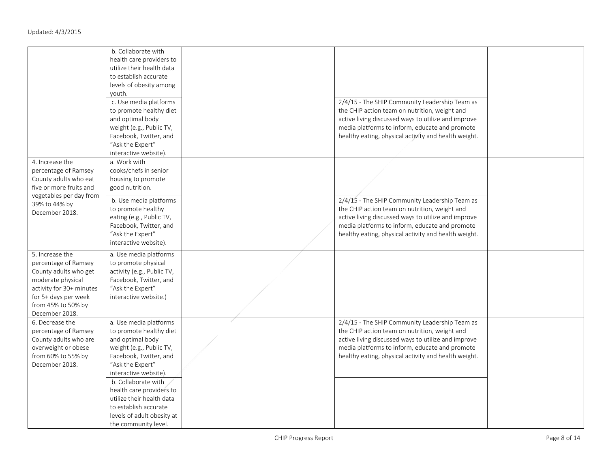|                                                                                                                                                                                   | b. Collaborate with<br>health care providers to<br>utilize their health data<br>to establish accurate<br>levels of obesity among<br>youth.<br>c. Use media platforms<br>to promote healthy diet<br>and optimal body<br>weight (e.g., Public TV,<br>Facebook, Twitter, and<br>"Ask the Expert"<br>interactive website).                  |  | 2/4/15 - The SHIP Community Leadership Team as<br>the CHIP action team on nutrition, weight and<br>active living discussed ways to utilize and improve<br>media platforms to inform, educate and promote<br>healthy eating, physical activity and health weight. |  |
|-----------------------------------------------------------------------------------------------------------------------------------------------------------------------------------|-----------------------------------------------------------------------------------------------------------------------------------------------------------------------------------------------------------------------------------------------------------------------------------------------------------------------------------------|--|------------------------------------------------------------------------------------------------------------------------------------------------------------------------------------------------------------------------------------------------------------------|--|
| 4. Increase the<br>percentage of Ramsey<br>County adults who eat<br>five or more fruits and<br>vegetables per day from<br>39% to 44% by<br>December 2018.                         | a. Work with<br>cooks/chefs in senior<br>housing to promote<br>good nutrition.<br>b. Use media platforms<br>to promote healthy<br>eating (e.g., Public TV,<br>Facebook, Twitter, and<br>"Ask the Expert"<br>interactive website).                                                                                                       |  | 2/4/15 - The SHIP Community Leadership Team as<br>the CHIP action team on nutrition, weight and<br>active living discussed ways to utilize and improve<br>media platforms to inform, educate and promote<br>healthy eating, physical activity and health weight. |  |
| 5. Increase the<br>percentage of Ramsey<br>County adults who get<br>moderate physical<br>activity for 30+ minutes<br>for 5+ days per week<br>from 45% to 50% by<br>December 2018. | a. Use media platforms<br>to promote physical<br>activity (e.g., Public TV,<br>Facebook, Twitter, and<br>"Ask the Expert"<br>interactive website.)                                                                                                                                                                                      |  |                                                                                                                                                                                                                                                                  |  |
| 6. Decrease the<br>percentage of Ramsey<br>County adults who are<br>overweight or obese<br>from 60% to 55% by<br>December 2018.                                                   | a. Use media platforms<br>to promote healthy diet<br>and optimal body<br>weight (e.g., Public TV,<br>Facebook, Twitter, and<br>"Ask the Expert"<br>interactive website).<br>b. Collaborate with<br>health care providers to<br>utilize their health data<br>to establish accurate<br>levels of adult obesity at<br>the community level. |  | 2/4/15 - The SHIP Community Leadership Team as<br>the CHIP action team on nutrition, weight and<br>active living discussed ways to utilize and improve<br>media platforms to inform, educate and promote<br>healthy eating, physical activity and health weight. |  |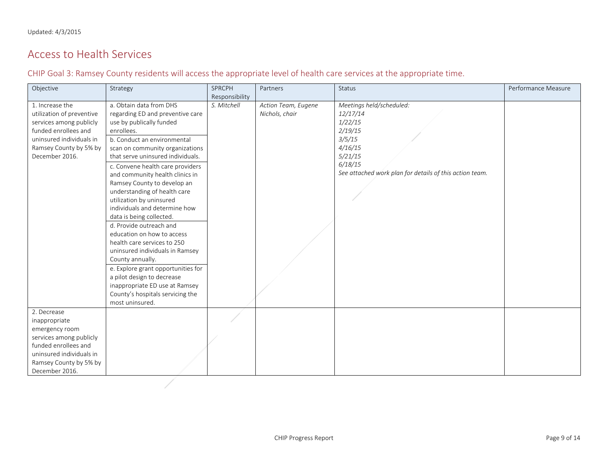## Access to Health Services

CHIP Goal 3: Ramsey County residents will access the appropriate level of health care services at the appropriate time.

<span id="page-8-1"></span><span id="page-8-0"></span>

| Objective                                                                                                                                                               | Strategy                                                                                                                                                                                                                                                                                                                                                                                                                                                                                                                                                                                                                                                                                                                                                | SPRCPH         | Partners                              | <b>Status</b>                                                                                                                                                    | Performance Measure |
|-------------------------------------------------------------------------------------------------------------------------------------------------------------------------|---------------------------------------------------------------------------------------------------------------------------------------------------------------------------------------------------------------------------------------------------------------------------------------------------------------------------------------------------------------------------------------------------------------------------------------------------------------------------------------------------------------------------------------------------------------------------------------------------------------------------------------------------------------------------------------------------------------------------------------------------------|----------------|---------------------------------------|------------------------------------------------------------------------------------------------------------------------------------------------------------------|---------------------|
|                                                                                                                                                                         |                                                                                                                                                                                                                                                                                                                                                                                                                                                                                                                                                                                                                                                                                                                                                         | Responsibility |                                       |                                                                                                                                                                  |                     |
| 1. Increase the<br>utilization of preventive<br>services among publicly<br>funded enrollees and<br>uninsured individuals in<br>Ramsey County by 5% by<br>December 2016. | a. Obtain data from DHS<br>regarding ED and preventive care<br>use by publically funded<br>enrollees.<br>b. Conduct an environmental<br>scan on community organizations<br>that serve uninsured individuals.<br>c. Convene health care providers<br>and community health clinics in<br>Ramsey County to develop an<br>understanding of health care<br>utilization by uninsured<br>individuals and determine how<br>data is being collected.<br>d. Provide outreach and<br>education on how to access<br>health care services to 250<br>uninsured individuals in Ramsey<br>County annually.<br>e. Explore grant opportunities for<br>a pilot design to decrease<br>inappropriate ED use at Ramsey<br>County's hospitals servicing the<br>most uninsured. | S. Mitchell    | Action Team, Eugene<br>Nichols, chair | Meetings held/scheduled:<br>12/17/14<br>1/22/15<br>2/19/15<br>3/5/15<br>4/16/15<br>5/21/15<br>6/18/15<br>See attached work plan for details of this action team. |                     |
| 2. Decrease                                                                                                                                                             |                                                                                                                                                                                                                                                                                                                                                                                                                                                                                                                                                                                                                                                                                                                                                         |                |                                       |                                                                                                                                                                  |                     |
| inappropriate                                                                                                                                                           |                                                                                                                                                                                                                                                                                                                                                                                                                                                                                                                                                                                                                                                                                                                                                         |                |                                       |                                                                                                                                                                  |                     |
| emergency room                                                                                                                                                          |                                                                                                                                                                                                                                                                                                                                                                                                                                                                                                                                                                                                                                                                                                                                                         |                |                                       |                                                                                                                                                                  |                     |
| services among publicly                                                                                                                                                 |                                                                                                                                                                                                                                                                                                                                                                                                                                                                                                                                                                                                                                                                                                                                                         |                |                                       |                                                                                                                                                                  |                     |
| funded enrollees and                                                                                                                                                    |                                                                                                                                                                                                                                                                                                                                                                                                                                                                                                                                                                                                                                                                                                                                                         |                |                                       |                                                                                                                                                                  |                     |
| uninsured individuals in                                                                                                                                                |                                                                                                                                                                                                                                                                                                                                                                                                                                                                                                                                                                                                                                                                                                                                                         |                |                                       |                                                                                                                                                                  |                     |
| Ramsey County by 5% by                                                                                                                                                  |                                                                                                                                                                                                                                                                                                                                                                                                                                                                                                                                                                                                                                                                                                                                                         |                |                                       |                                                                                                                                                                  |                     |
| December 2016.                                                                                                                                                          |                                                                                                                                                                                                                                                                                                                                                                                                                                                                                                                                                                                                                                                                                                                                                         |                |                                       |                                                                                                                                                                  |                     |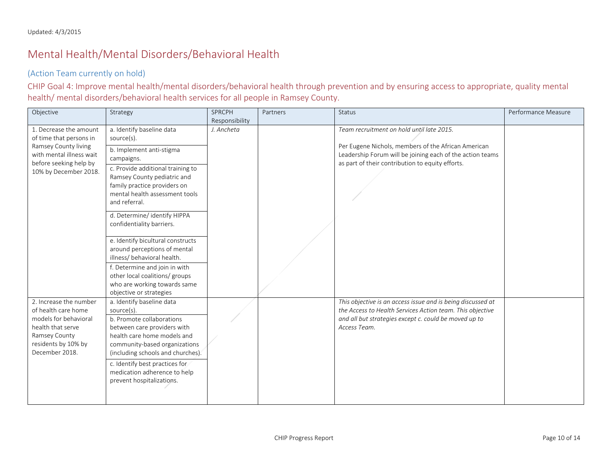## Mental Health/Mental Disorders/Behavioral Health

#### (Action Team currently on hold)

CHIP Goal 4: Improve mental health/mental disorders/behavioral health through prevention and by ensuring access to appropriate, quality mental health/ mental disorders/behavioral health services for all people in Ramsey County.

<span id="page-9-1"></span><span id="page-9-0"></span>

| Objective                                                                                                                                             | Strategy                                                                                                                                                                                                 | <b>SPRCPH</b>  | Partners | <b>Status</b>                                                                                                                                                                                     | Performance Measure |
|-------------------------------------------------------------------------------------------------------------------------------------------------------|----------------------------------------------------------------------------------------------------------------------------------------------------------------------------------------------------------|----------------|----------|---------------------------------------------------------------------------------------------------------------------------------------------------------------------------------------------------|---------------------|
|                                                                                                                                                       |                                                                                                                                                                                                          | Responsibility |          |                                                                                                                                                                                                   |                     |
| 1. Decrease the amount<br>of time that persons in                                                                                                     | a. Identify baseline data<br>source(s).                                                                                                                                                                  | J. Ancheta     |          | Team recruitment on hold until late 2015.                                                                                                                                                         |                     |
| Ramsey County living<br>with mental illness wait                                                                                                      | b. Implement anti-stigma<br>campaigns.                                                                                                                                                                   |                |          | Per Eugene Nichols, members of the African American<br>Leadership Forum will be joining each of the action teams<br>as part of their contribution to equity efforts.                              |                     |
| before seeking help by<br>10% by December 2018.                                                                                                       | c. Provide additional training to<br>Ramsey County pediatric and<br>family practice providers on<br>mental health assessment tools<br>and referral.                                                      |                |          |                                                                                                                                                                                                   |                     |
|                                                                                                                                                       | d. Determine/identify HIPPA<br>confidentiality barriers.                                                                                                                                                 |                |          |                                                                                                                                                                                                   |                     |
|                                                                                                                                                       | e. Identify bicultural constructs<br>around perceptions of mental<br>illness/ behavioral health.                                                                                                         |                |          |                                                                                                                                                                                                   |                     |
|                                                                                                                                                       | f. Determine and join in with<br>other local coalitions/ groups<br>who are working towards same<br>objective or strategies                                                                               |                |          |                                                                                                                                                                                                   |                     |
| 2. Increase the number<br>of health care home<br>models for behavioral<br>health that serve<br>Ramsey County<br>residents by 10% by<br>December 2018. | a. Identify baseline data<br>source(s).<br>b. Promote collaborations<br>between care providers with<br>health care home models and<br>community-based organizations<br>(including schools and churches). |                |          | This objective is an access issue and is being discussed at<br>the Access to Health Services Action team. This objective<br>and all but strategies except c. could be moved up to<br>Access Team. |                     |
|                                                                                                                                                       | c. Identify best practices for<br>medication adherence to help<br>prevent hospitalizations.                                                                                                              |                |          |                                                                                                                                                                                                   |                     |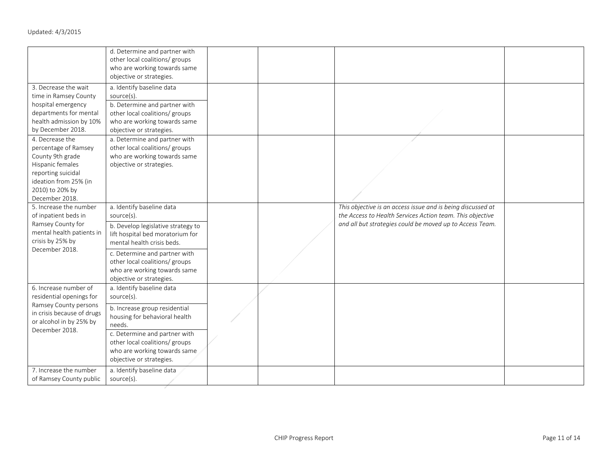|                                                                                                                                                                     | d. Determine and partner with<br>other local coalitions/ groups<br>who are working towards same<br>objective or strategies.                                            |  |                                                                                                                                                                                      |  |
|---------------------------------------------------------------------------------------------------------------------------------------------------------------------|------------------------------------------------------------------------------------------------------------------------------------------------------------------------|--|--------------------------------------------------------------------------------------------------------------------------------------------------------------------------------------|--|
| 3. Decrease the wait<br>time in Ramsey County<br>hospital emergency<br>departments for mental<br>health admission by 10%<br>by December 2018.                       | a. Identify baseline data<br>source(s).<br>b. Determine and partner with<br>other local coalitions/ groups<br>who are working towards same<br>objective or strategies. |  |                                                                                                                                                                                      |  |
| 4. Decrease the<br>percentage of Ramsey<br>County 9th grade<br>Hispanic females<br>reporting suicidal<br>ideation from 25% (in<br>2010) to 20% by<br>December 2018. | a. Determine and partner with<br>other local coalitions/ groups<br>who are working towards same<br>objective or strategies.                                            |  |                                                                                                                                                                                      |  |
| 5. Increase the number<br>of inpatient beds in<br>Ramsey County for<br>mental health patients in<br>crisis by 25% by<br>December 2018.                              | a. Identify baseline data<br>source(s).<br>b. Develop legislative strategy to<br>lift hospital bed moratorium for<br>mental health crisis beds.                        |  | This objective is an access issue and is being discussed at<br>the Access to Health Services Action team. This objective<br>and all but strategies could be moved up to Access Team. |  |
|                                                                                                                                                                     | c. Determine and partner with<br>other local coalitions/ groups<br>who are working towards same<br>objective or strategies.                                            |  |                                                                                                                                                                                      |  |
| 6. Increase number of<br>residential openings for                                                                                                                   | a. Identify baseline data<br>source(s).                                                                                                                                |  |                                                                                                                                                                                      |  |
| Ramsey County persons<br>in crisis because of drugs<br>or alcohol in by 25% by<br>December 2018.                                                                    | b. Increase group residential<br>housing for behavioral health<br>needs.                                                                                               |  |                                                                                                                                                                                      |  |
|                                                                                                                                                                     | c. Determine and partner with<br>other local coalitions/ groups<br>who are working towards same<br>objective or strategies.                                            |  |                                                                                                                                                                                      |  |
| 7. Increase the number<br>of Ramsey County public                                                                                                                   | a. Identify baseline data<br>source(s).                                                                                                                                |  |                                                                                                                                                                                      |  |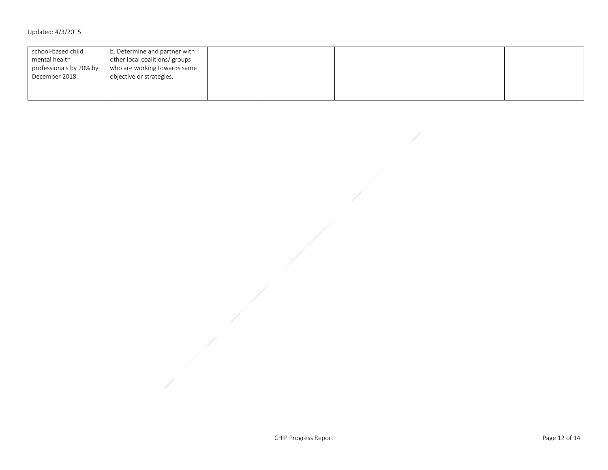| school-based child<br>mental health<br>professionals by 20% by | b. Determine and partner with<br>other local coalitions/ groups<br>who are working towards same |  |  |
|----------------------------------------------------------------|-------------------------------------------------------------------------------------------------|--|--|
| December 2018.                                                 | objective or strategies.                                                                        |  |  |
|                                                                |                                                                                                 |  |  |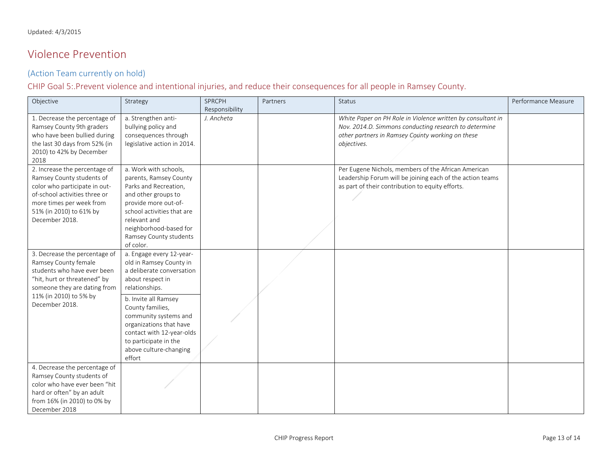## Violence Prevention

#### (Action Team currently on hold)

#### CHIP Goal 5:.Prevent violence and intentional injuries, and reduce their consequences for all people in Ramsey County.

<span id="page-12-0"></span>

| Objective                                                      | Strategy                                   | SPRCPH                       | Partners | Status                                                      | Performance Measure |
|----------------------------------------------------------------|--------------------------------------------|------------------------------|----------|-------------------------------------------------------------|---------------------|
| 1. Decrease the percentage of                                  | a. Strengthen anti-                        | Responsibility<br>J. Ancheta |          | White Paper on PH Role in Violence written by consultant in |                     |
| Ramsey County 9th graders                                      | bullying policy and                        |                              |          | Nov. 2014.D. Simmons conducting research to determine       |                     |
| who have been bullied during                                   | consequences through                       |                              |          | other partners in Ramsey County working on these            |                     |
| the last 30 days from 52% (in                                  | legislative action in 2014.                |                              |          | objectives.                                                 |                     |
| 2010) to 42% by December                                       |                                            |                              |          |                                                             |                     |
| 2018                                                           |                                            |                              |          |                                                             |                     |
| 2. Increase the percentage of                                  | a. Work with schools,                      |                              |          | Per Eugene Nichols, members of the African American         |                     |
| Ramsey County students of                                      | parents, Ramsey County                     |                              |          | Leadership Forum will be joining each of the action teams   |                     |
|                                                                |                                            |                              |          |                                                             |                     |
| color who participate in out-<br>of-school activities three or | Parks and Recreation,                      |                              |          | as part of their contribution to equity efforts.            |                     |
|                                                                | and other groups to                        |                              |          |                                                             |                     |
| more times per week from                                       | provide more out-of-                       |                              |          |                                                             |                     |
| 51% (in 2010) to 61% by<br>December 2018.                      | school activities that are<br>relevant and |                              |          |                                                             |                     |
|                                                                |                                            |                              |          |                                                             |                     |
|                                                                | neighborhood-based for                     |                              |          |                                                             |                     |
|                                                                | Ramsey County students                     |                              |          |                                                             |                     |
|                                                                | of color.                                  |                              |          |                                                             |                     |
| 3. Decrease the percentage of                                  | a. Engage every 12-year-                   |                              |          |                                                             |                     |
| Ramsey County female                                           | old in Ramsey County in                    |                              |          |                                                             |                     |
| students who have ever been                                    | a deliberate conversation                  |                              |          |                                                             |                     |
| "hit, hurt or threatened" by                                   | about respect in                           |                              |          |                                                             |                     |
| someone they are dating from                                   | relationships.                             |                              |          |                                                             |                     |
| 11% (in 2010) to 5% by                                         | b. Invite all Ramsey                       |                              |          |                                                             |                     |
| December 2018.                                                 | County families,                           |                              |          |                                                             |                     |
|                                                                | community systems and                      |                              |          |                                                             |                     |
|                                                                | organizations that have                    |                              |          |                                                             |                     |
|                                                                | contact with 12-year-olds                  |                              |          |                                                             |                     |
|                                                                | to participate in the                      |                              |          |                                                             |                     |
|                                                                | above culture-changing                     |                              |          |                                                             |                     |
|                                                                | effort                                     |                              |          |                                                             |                     |
| 4. Decrease the percentage of                                  |                                            |                              |          |                                                             |                     |
| Ramsey County students of                                      |                                            |                              |          |                                                             |                     |
| color who have ever been "hit                                  |                                            |                              |          |                                                             |                     |
| hard or often" by an adult                                     |                                            |                              |          |                                                             |                     |
| from 16% (in 2010) to 0% by                                    |                                            |                              |          |                                                             |                     |
| December 2018                                                  |                                            |                              |          |                                                             |                     |